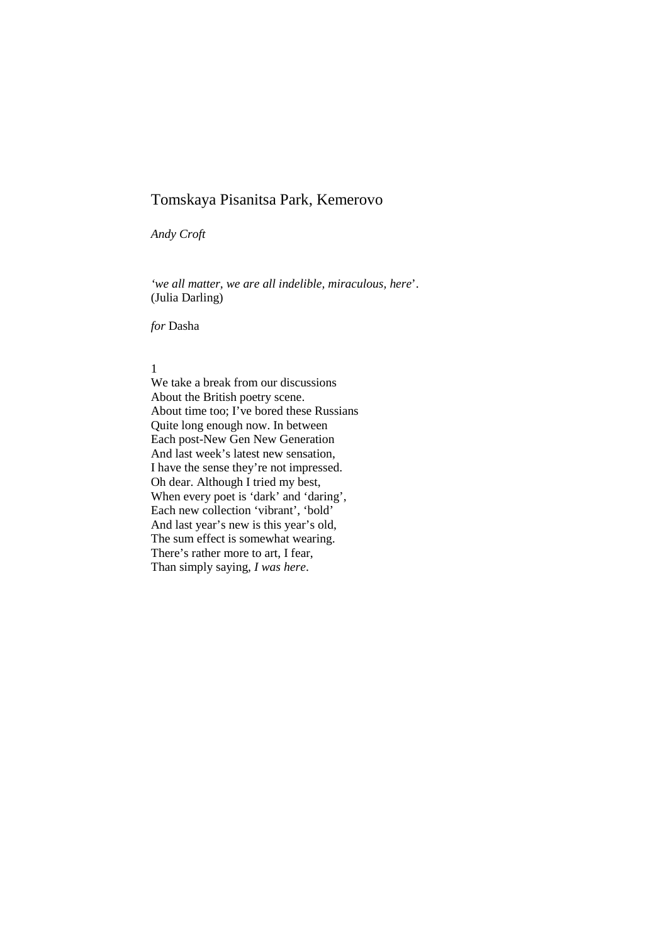*Andy Croft* 

*'we all matter, we are all indelible, miraculous, here*'. (Julia Darling)

*for* Dasha

# 1

We take a break from our discussions About the British poetry scene. About time too; I've bored these Russians Quite long enough now. In between Each post-New Gen New Generation And last week's latest new sensation, I have the sense they're not impressed. Oh dear. Although I tried my best, When every poet is 'dark' and 'daring', Each new collection 'vibrant', 'bold' And last year's new is this year's old, The sum effect is somewhat wearing. There's rather more to art, I fear, Than simply saying, *I was here*.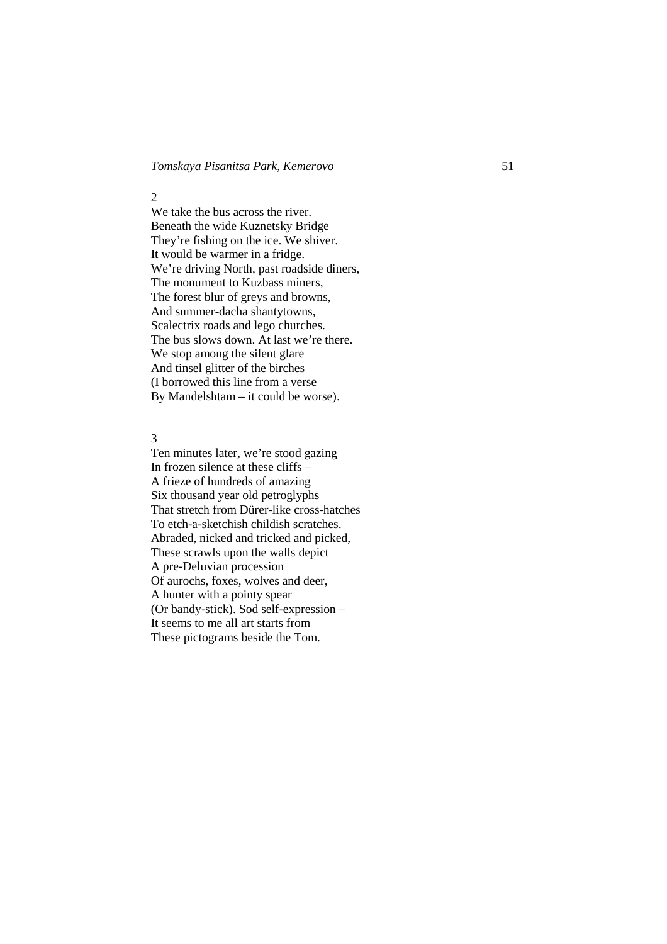#### 2

We take the bus across the river. Beneath the wide Kuznetsky Bridge They're fishing on the ice. We shiver. It would be warmer in a fridge. We're driving North, past roadside diners, The monument to Kuzbass miners, The forest blur of greys and browns, And summer-dacha shantytowns, Scalectrix roads and lego churches. The bus slows down. At last we're there. We stop among the silent glare And tinsel glitter of the birches (I borrowed this line from a verse By Mandelshtam – it could be worse).

### 3

Ten minutes later, we're stood gazing In frozen silence at these cliffs – A frieze of hundreds of amazing Six thousand year old petroglyphs That stretch from Dürer-like cross-hatches To etch-a-sketchish childish scratches. Abraded, nicked and tricked and picked, These scrawls upon the walls depict A pre-Deluvian procession Of aurochs, foxes, wolves and deer, A hunter with a pointy spear (Or bandy-stick). Sod self-expression – It seems to me all art starts from These pictograms beside the Tom.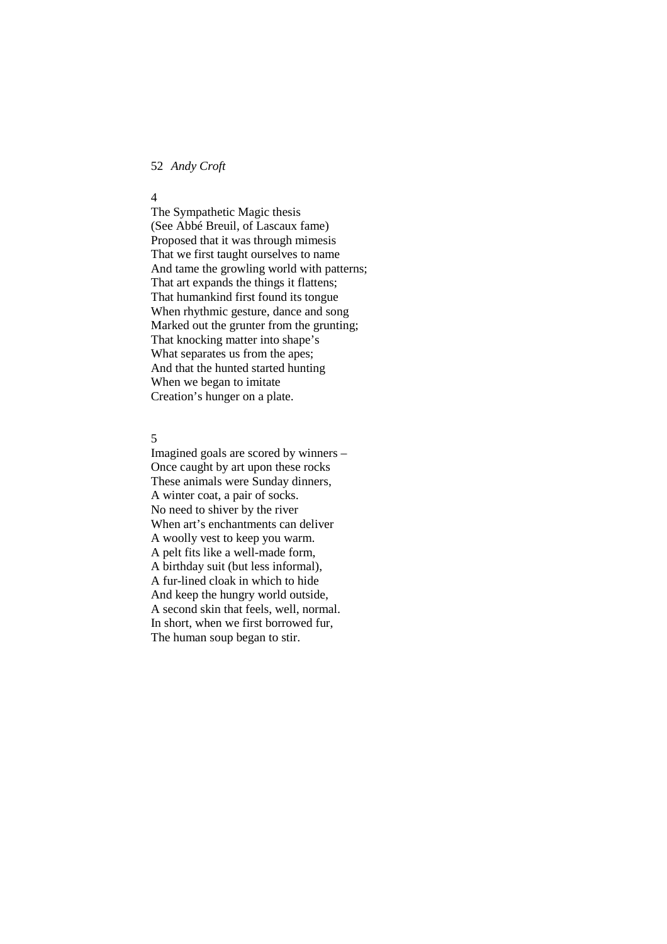52 *Andy Croft*

#### 4

The Sympathetic Magic thesis (See Abbé Breuil, of Lascaux fame) Proposed that it was through mimesis That we first taught ourselves to name And tame the growling world with patterns; That art expands the things it flattens; That humankind first found its tongue When rhythmic gesture, dance and song Marked out the grunter from the grunting; That knocking matter into shape's What separates us from the apes; And that the hunted started hunting When we began to imitate Creation's hunger on a plate.

# 5

Imagined goals are scored by winners – Once caught by art upon these rocks These animals were Sunday dinners, A winter coat, a pair of socks. No need to shiver by the river When art's enchantments can deliver A woolly vest to keep you warm. A pelt fits like a well-made form, A birthday suit (but less informal), A fur-lined cloak in which to hide And keep the hungry world outside, A second skin that feels, well, normal. In short, when we first borrowed fur, The human soup began to stir.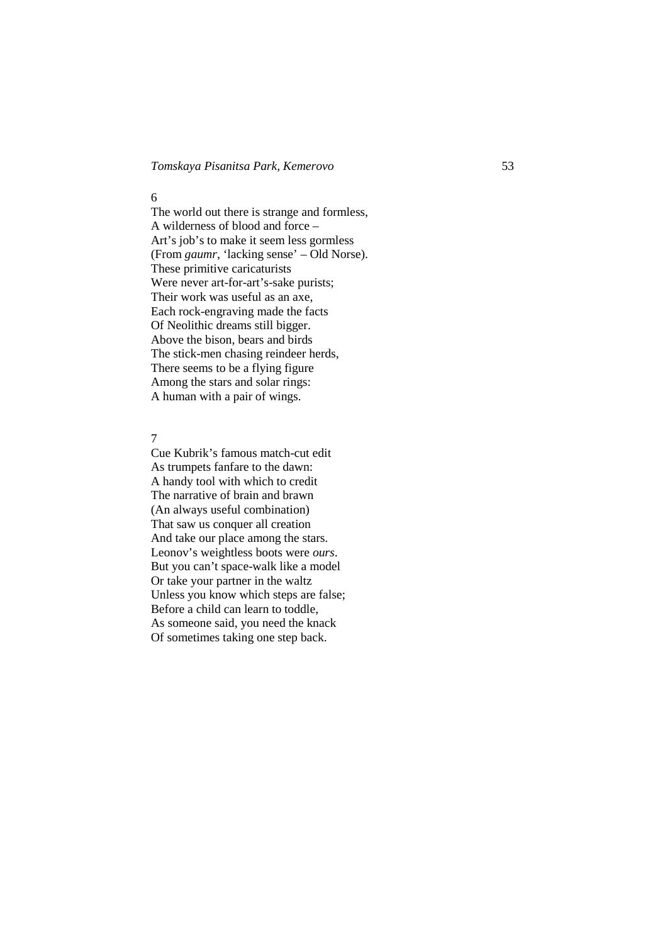#### 6

The world out there is strange and formless, A wilderness of blood and force – Art's job's to make it seem less gormless (From *gaumr*, 'lacking sense' – Old Norse). These primitive caricaturists Were never art-for-art's-sake purists; Their work was useful as an axe, Each rock-engraving made the facts Of Neolithic dreams still bigger. Above the bison, bears and birds The stick-men chasing reindeer herds, There seems to be a flying figure Among the stars and solar rings: A human with a pair of wings.

# 7

Cue Kubrik's famous match-cut edit As trumpets fanfare to the dawn: A handy tool with which to credit The narrative of brain and brawn (An always useful combination) That saw us conquer all creation And take our place among the stars. Leonov's weightless boots were *ours*. But you can't space-walk like a model Or take your partner in the waltz Unless you know which steps are false; Before a child can learn to toddle, As someone said, you need the knack Of sometimes taking one step back.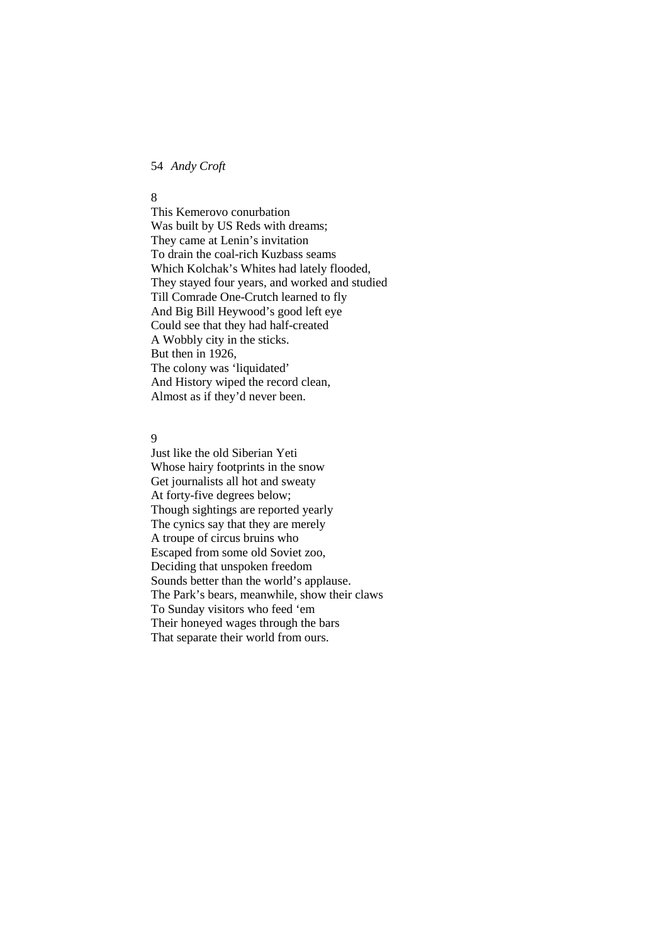54 *Andy Croft*

#### 8

This Kemerovo conurbation Was built by US Reds with dreams; They came at Lenin's invitation To drain the coal-rich Kuzbass seams Which Kolchak's Whites had lately flooded, They stayed four years, and worked and studied Till Comrade One-Crutch learned to fly And Big Bill Heywood's good left eye Could see that they had half-created A Wobbly city in the sticks. But then in 1926, The colony was 'liquidated' And History wiped the record clean, Almost as if they'd never been.

# 9

Just like the old Siberian Yeti Whose hairy footprints in the snow Get journalists all hot and sweaty At forty-five degrees below; Though sightings are reported yearly The cynics say that they are merely A troupe of circus bruins who Escaped from some old Soviet zoo, Deciding that unspoken freedom Sounds better than the world's applause. The Park's bears, meanwhile, show their claws To Sunday visitors who feed 'em Their honeyed wages through the bars That separate their world from ours.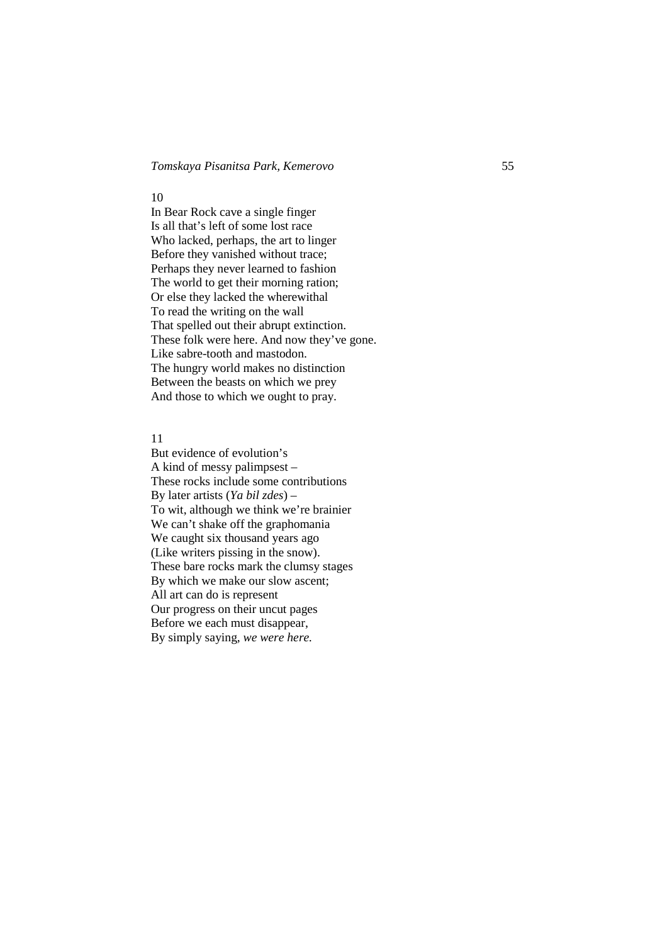#### 10

In Bear Rock cave a single finger Is all that's left of some lost race Who lacked, perhaps, the art to linger Before they vanished without trace; Perhaps they never learned to fashion The world to get their morning ration; Or else they lacked the wherewithal To read the writing on the wall That spelled out their abrupt extinction. These folk were here. And now they've gone. Like sabre-tooth and mastodon. The hungry world makes no distinction Between the beasts on which we prey And those to which we ought to pray.

### 11

But evidence of evolution's A kind of messy palimpsest – These rocks include some contributions By later artists (*Ya bil zdes*) – To wit, although we think we're brainier We can't shake off the graphomania We caught six thousand years ago (Like writers pissing in the snow). These bare rocks mark the clumsy stages By which we make our slow ascent; All art can do is represent Our progress on their uncut pages Before we each must disappear, By simply saying, *we were here.*